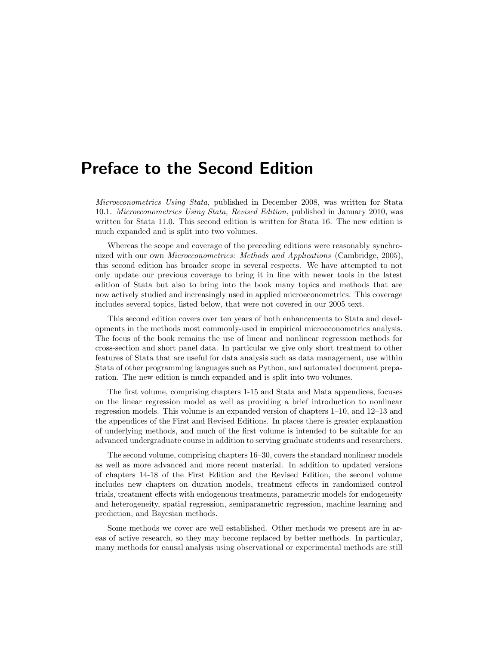## Preface to the Second Edition

Microeconometrics Using Stata, published in December 2008, was written for Stata 10.1. Microeconometrics Using Stata, Revised Edition, published in January 2010, was written for Stata 11.0. This second edition is written for Stata 16. The new edition is much expanded and is split into two volumes.

Whereas the scope and coverage of the preceding editions were reasonably synchronized with our own Microeconometrics: Methods and Applications (Cambridge, 2005), this second edition has broader scope in several respects. We have attempted to not only update our previous coverage to bring it in line with newer tools in the latest edition of Stata but also to bring into the book many topics and methods that are now actively studied and increasingly used in applied microeconometrics. This coverage includes several topics, listed below, that were not covered in our 2005 text.

This second edition covers over ten years of both enhancements to Stata and developments in the methods most commonly-used in empirical microeconometrics analysis. The focus of the book remains the use of linear and nonlinear regression methods for cross-section and short panel data. In particular we give only short treatment to other features of Stata that are useful for data analysis such as data management, use within Stata of other programming languages such as Python, and automated document preparation. The new edition is much expanded and is split into two volumes.

The first volume, comprising chapters 1-15 and Stata and Mata appendices, focuses on the linear regression model as well as providing a brief introduction to nonlinear regression models. This volume is an expanded version of chapters 1–10, and 12–13 and the appendices of the First and Revised Editions. In places there is greater explanation of underlying methods, and much of the first volume is intended to be suitable for an advanced undergraduate course in addition to serving graduate students and researchers.

The second volume, comprising chapters 16–30, covers the standard nonlinear models as well as more advanced and more recent material. In addition to updated versions of chapters 14-18 of the First Edition and the Revised Edition, the second volume includes new chapters on duration models, treatment effects in randomized control trials, treatment effects with endogenous treatments, parametric models for endogeneity and heterogeneity, spatial regression, semiparametric regression, machine learning and prediction, and Bayesian methods.

Some methods we cover are well established. Other methods we present are in areas of active research, so they may become replaced by better methods. In particular, many methods for causal analysis using observational or experimental methods are still